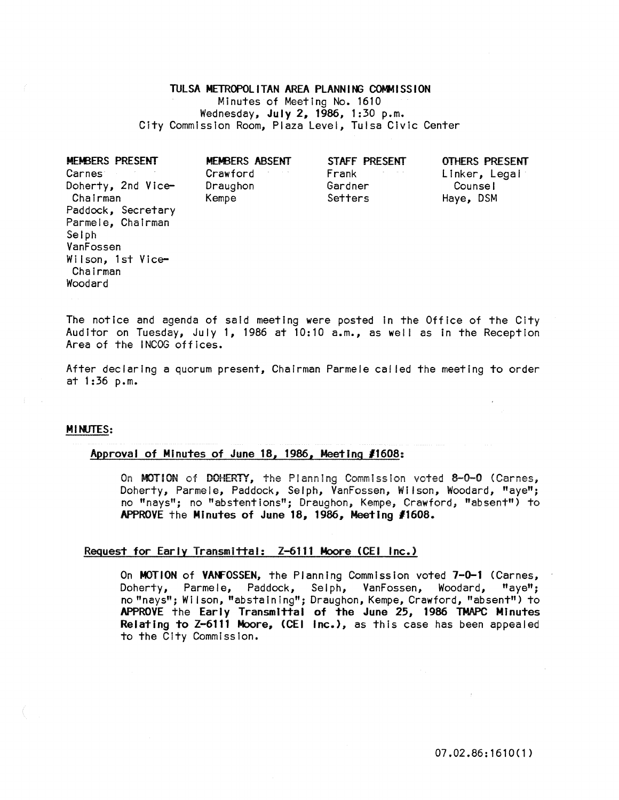## TULSA METROPOLITAN AREA PLANNING COMMISSION Minutes of Meeting No. 1610 Wednesday, July 2, 1986, 1:30 p.m. City Commission Room, Plaza Level, Tulsa Civic Center

| <b>MEMBERS PRESENT</b> | <b>MEMBERS ABSENT</b> | STAFF PRESENT | OTHERS PRESENT |
|------------------------|-----------------------|---------------|----------------|
| Carnes <sup>-</sup>    | Crawford              | Frank         | Linker, Legal  |
| Doherty, 2nd Vice-     | Draughon              | Gardner       | Counsel        |
| Chairman               | Kempe                 | Setters       | Haye, DSM      |
| Paddock, Secretary     |                       |               |                |
| Parmele, Chairman      |                       |               |                |
| Selph                  |                       |               |                |
| VanFossen              |                       |               |                |
| Wilson, 1st Vice-      |                       |               |                |
| Chairman               |                       |               |                |
| Woodard                |                       |               |                |

The notice and agenda of said meeting were posted In the Office of the City Auditor on Tuesday, July 1, 1986 at 10:10 a.m., as well as in the Reception Area of the INCOG offices.

After declaring a quorum present, Chairman Parmele cal led the meeting to order at  $1:36$  p.m.

## MINUTES:

## Approval of Minutes of June 18, 1986, Meeting *11608:*

On MOTION of DOHERTY, the Planning Commission voted 8-0-0 (Carnes, Doherty, Parmele, Paddock, Selph, VanFossen, Wilson, Woodard, "aye"; no "nays"; no "abstentions"; Draughon, Kempe; Crawford; "absent") to APPROVE the Minutes of June 18, 1986, Meeting *11608.* 

## Request for Early Transmittal: Z-6111 Moore (CEI Inc.)

On MOTION of VANFOSSEN, the Planning Commission voted 7-0-1 (Carnes, Doherty, Parmele, Paddock, Selph, VanFossen, Woodard, "aye"; no "nays"; Wilson, "abstaining"; Draughon, Kempe, Crawford, "absent") to APPROVE the Early Transmittal of the June 25, 1986 TMAPC Minutes Relating to Z-6111 Moore, (CEI Inc.), as this case has been appealed to the City Commission.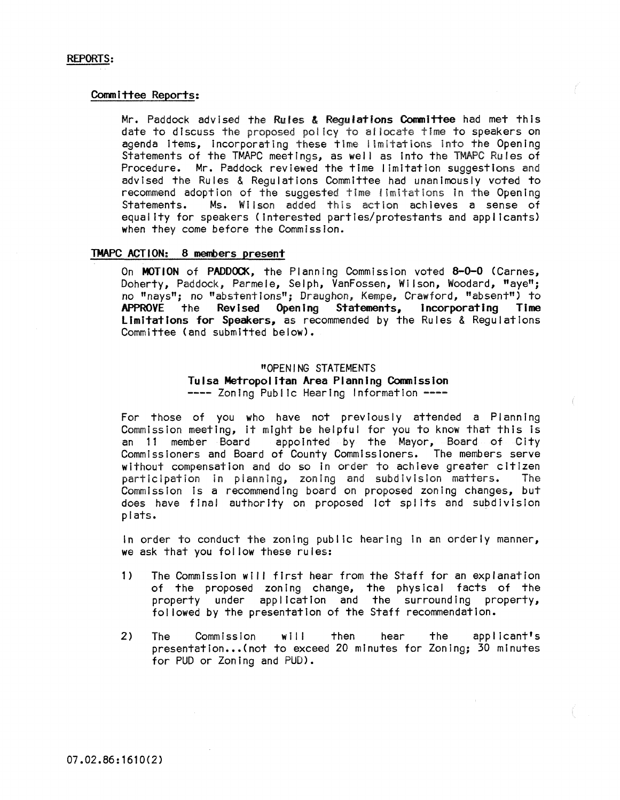## Committee Reports:

Mr. Paddock advised the Rules & Requiations Committee had met this date to discuss the proposed policy to allocate time to speakers on agenda Items, Incorporating these time i Imitations into the Opening Statements of the TMAPC meetings, as well as into the TMAPC Rules of Procedure. Mr. Paddock reviewed the time limitation suggestions and advised the Rules & Regulations Committee had unanimously voted to recommend adoption of the suggested time limitations in the Opening<br>Statements. Ms. Wilson added this action achieves a sense of Ms. Wilson added this action achieves a sense of equality for speakers (interested parties/protestants and applicants) when they come before the Commission.

## TMAPC ACTION: 8 members present

On MOTION of PADDOCK, the Planning Commission voted 8-0-0 (Carnes, Doherty, Paddock, Parmele, Selph, VanFossen, Wi Ison, Woodard, "aye"; no "nays"; no "abstentions"; Draughon; Kempe, Crawford, "absent") to APPROVE the Revised Opening Statements, incorporating Time Limitations for Speakers, as recommended by the Rules & Regulations Committee (and submitted below).

# "OPENING STATEMENTS<br>Tulsa Metropolitan Area Planning Commission ---- Zoning Public Hearing Information ----

For those of you who have not previously attended a Planning Commission meeting, It might be helpful for you to know that this Is an 11 member Board appointed by the Mayor, Board of City Commissioners and Board of County Commissioners. The members serve without compensation and do so in order to achieve greater citizen<br>participation in planning, zoning and subdivision matters. The participation in planning, zoning and subdivision matters. Commission Is a recommending board on proposed zoning changes, but does have final authority on proposed lot splits and subdivision plats.

in order to conduct the zoning public hearing In an orderly manner, we ask that you fol low these rules:

- 1) The Commission will first hear from the Staff for an explanation of the proposed zoning change, the physical facts of the property under application and the surrounding property, fol lowed by the presentation of the Staff recommendation.
- 2) The Commission will then hear the applicant's presentation...(not to exceed 20 minutes for Zoning; 30 minutes for PUD or Zoning and PUD).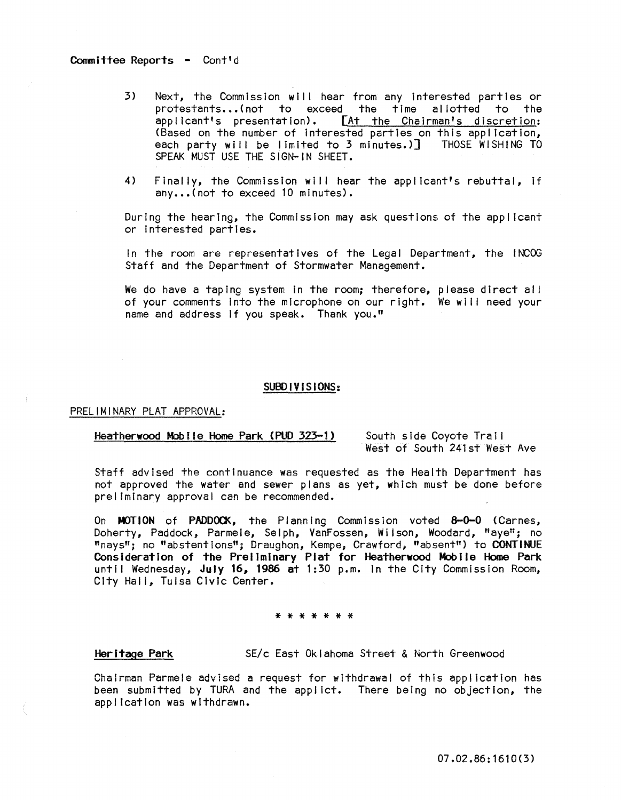## Committee Reports - Cont'd

- 3) Next, the Commission will hear from any interested parties or protestants...(not to exceed the time allotted to the applicant's presentation). [At the Chairman's discretion: (Based on the number of interested parties on this application, each party will be limited to 3 minutes.)] THOSE WISHING TO SPEAK MUST USE THE SIGN-IN SHEET.
- 4) Finally, the Commission will hear the applicant's rebuttal, If any...(not to exceed 10 minutes).

During the hearing, the Commission may ask questions of the applicant or Interested parties.

In the room are representatives of the Legal Department, the INCOG Staff and the Department of Stormwater Management.

We do have a taping system in the room; therefore, please direct all of your comments into the microphone on our right. We will need your name and address If you speak. Thank you."

### SUBDIVISIONS:

### PRELIMINARY PLAT APPROVAL:

## Heatherwood Mobile Home Park (PUD 323-1) South side Coyote Trail

West of South 241st West Ave

Staff advised the continuance was requested as the Health Department has not approved the water and sewer plans as yet, which must be done before preliminary approval can be recommended.

On MOTION of PADDOCK, the Planning Commission voted 8-0-0 (Carnes, Doherty, Paddock, Parmele, Selph, VanFossen, WIlson, Woodard, "aye"; no "nays"; no "abstentions"; Draughon, Kempe, Crawford, "absent") to CONTINUE Consideration of the Preliminary Plat for Heatherwood Mobile Home Park until Wednesday, July 16, 1986 at 1:30 p.m. in the City Commission Room, City Hall, Tulsa Civic Center.

#### \* \* \* \* \* \* \*

## Heritage Park SE/c East Oklahoma Street & North Greenwood

**ChaIrman Parmele advised a request for wIthdrawal of this applicatIon has**  been submitted by TURA and the appllct. There being no objection, the application was withdrawn.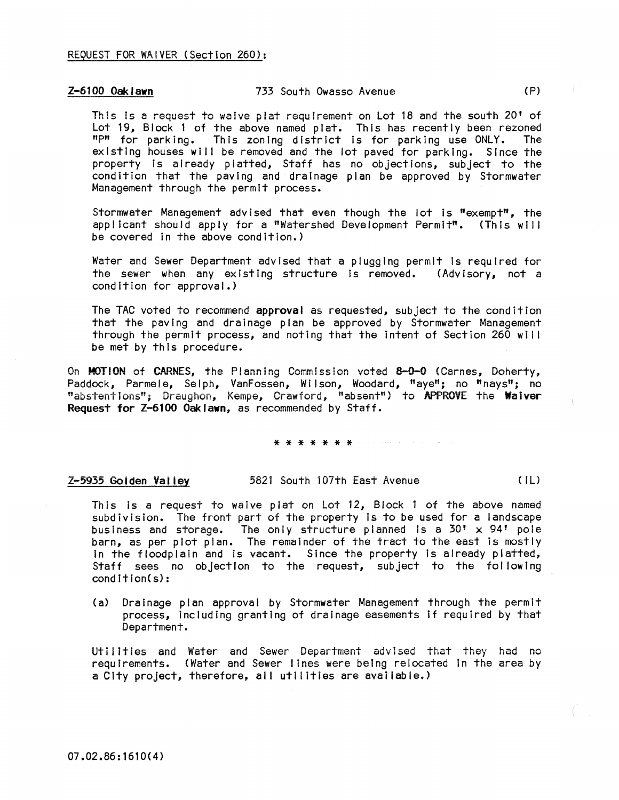## Z-6100 Oaklawn 733 South Owasso Avenue ( P)

This is a request to waive plat requirement on Lot 18 and the south 20' of Lot 19, Block 1 of the above named plat. This has recently been rezoned "P" for parking. This zoning district is for parking use ONLY. The existing houses will be removed and the lot paved for parking. Since the property is already platted, Staff has no objections, subject to the condition that the paving and drainage plan be approved by Stormwater Management through the permit process.

Stormwater Management advised that even though the lot is "exempt", the applicant should apply for a "Watershed Development Permit". (This will be covered In the above condition.)

Water and Sewer Department advised that a plugging permit Is required for the sewer when any existing structure is removed. (Advisory, not a condition for approval.)

The TAC voted to recommend approval as requested, subject to the condition that the paving and drainage plan be approved by Stormwater Management through the permit process, and noting that the intent of Section 260 will be met by this procedure.

On MOTION of CARNES, the Planning Commission voted 8-0-0 (Carnes, Doherty, Paddock, Parmele, Selph, VanFossen, Wilson, Woodard, "aye"; no "nays"; no "abstentions"; Draughon, Kempe, Crawford, "absent") to APPROVE the Waiver Request for Z-6100 Oaklawn, as recommended by Staff.

### \* \* \* \* \* \* \*

Z-5935 Goiden Valley 5821 South 107th East Avenue (iL)

This is a request to waive plat on Lot  $12$ , Block 1 of the above named subdivision. The front part of the property is to be used for a landscape business and storage. The only structure planned is a 30'  $\times$  94' pole barn, as per plot plan. The remainder of the tract to the east is mostly In the floodplain and Is vacant. Since the property Is already platted, Staff sees no objection to the request, subject to the fol lowing condition(s):

(a) Drainage plan approval by Stormwater Management through the permit process, including granting of drainage easements If required by that Department.

Utilities and Water and Sewer Department advised that they had no requirements. (Water and Sewer lines were being relocated In the area by a City project, therefore, all utilities are available.)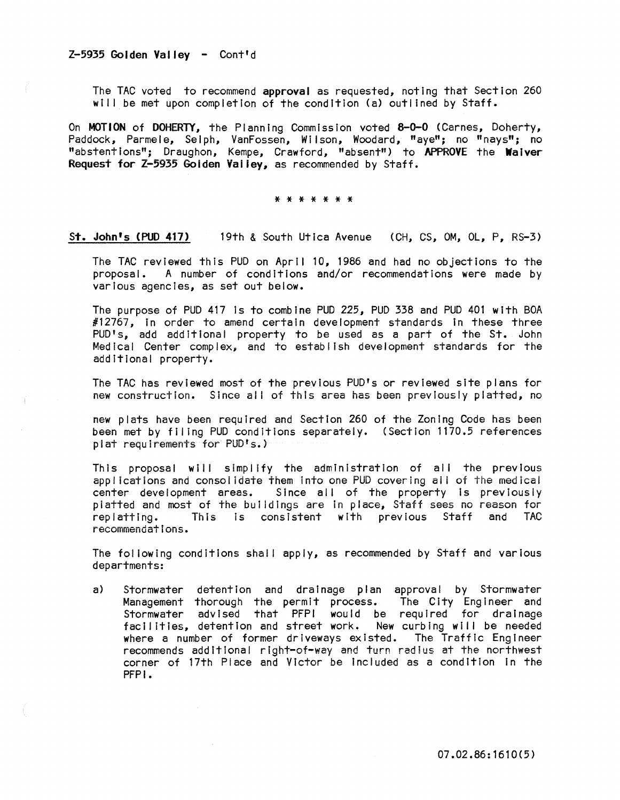## Z-5935 Golden Valley - Cont'd

The TAC voted to recommend approval as requested, noting that Section 260 will be met upon completion of the condition (a) outlined by Staff.

On MOTION of DOHERTY, the Planning Commission voted 8-0-0 (Carnes, Doherty, Paddock, Parmele, Selph, VanFossen, Wilson, Woodard, "aye"; no "nays"; no "abstentions"; Draughon, Kempe, Crawford, "absent") to APPROVE the Waiver Request for Z-5935 Golden Valley, as recommended by Staff.

\* \* \* \* \* \* \*

St. John's (POD 417) 19th & South Utica Avenue (CH, CS, OM, Ol, P, RS-3)

The TAC reviewed this PUD on April 10, 1986 and had no objections to the proposal. A number of conditions and/or recommendations were made by various agencies, as set out below.

The purpose of PUD 417 is to combine PUD 225, PUD 338 and PUD 401 with BOA #12767, in order to amend certain development standards in these three PUD's, add additional property to be used as a part of the St. John Medical Center complex, and to establish development standards for the additional property.

The TAC has reviewed most of the previous PUD's or reviewed site plans for new construction. Since all of this area has been previously platted, no

new plats have been required and Section 260 of the Zoning Code has been been met by filing PUD conditions separately. (Section 1170.5 references plat requirements for PUD's.)

This proposal will simplify the administration of all the previous applications and consolidate them into one PUD covering all of the medical center development areas. Since all of the property is previously platted and most of the buildings are in place, Staff sees no reason for<br>replatting. This is consistent with previous Staff and TAC replatting. This is consistent with previous Staff recommendations.

The following conditions shall apply, as recommended by Staff and various departments:

a) Stormwater detention and drainage plan approval by Stormwater Management thorough the permit process. The City Eng Ineer and Stormwater advIsed that PFPI would be required for drainage facilities, detention and street work. New curbing will be needed where a number of former driveways existed. The Traffic Engineer recommends additional right-of-way and turn radius at the northwest corner of 17th Place and Victor be included as a condition in the PFPI.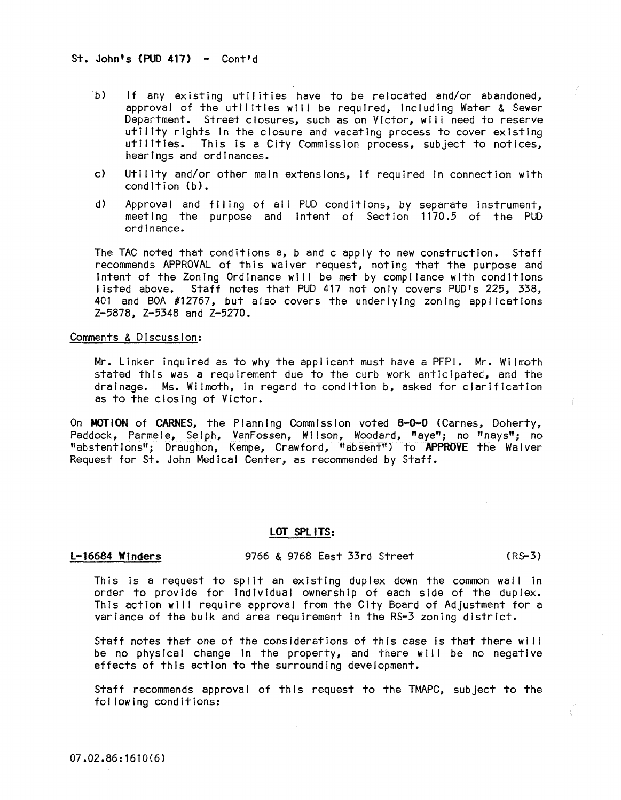## St. John's  $(PID 417) -$  Contid

- b) If any existing utilities have to be relocated and/or abandoned, approval of the utilities will be required, Including Water & Sewer Department. Street closures, such as on Victor, will need to reserve utility rights In the closure and vacating process to cover existing utilities. This Is a City Commission process, subject to notices, hearings and ordinances.
- c) Utility and/or other main extensions, If required In connection with  $condition (b)$ .
- d) Approval and filing of all PUD conditions, by separate Instrument, meeting the purpose and Intent of Section 1170.5 of the PUD ordinance.

The TAC noted that conditions a, b and c apply to new construction. Staff recommends APPROVAL of this waiver request, noting that the purpose and Intent of the Zoning Ordinance will be met by compliance with conditions listed above. Staff notes that PUD 417 not only covers PUD's 225, 338, 401 and BOA  $\#12767$ , but also covers the underlying zoning applications Z-5878, Z-5348 and Z-5270.

## Comments & Discussion:

Mr. Linker Inquired as to why the appl icant must have a PFPI. Mr. Wilmoth stated this was a requirement due to the curb work anticipated, and the drainage. Ms. Wilmoth, In regard to condition b, asked for clarification as to the closing of Victor.

On MOTION of CARNES, the Planning Commission voted 8-0-0 (Carnes, Doherty, Paddock, Parmele, Selph, VanFossen, Wilson, Woodard, "aye"; no "nays"; no "abstentions"; Draughon, Kempe, Crawford, "absent") to APPROVE the Waiver Request for St. John Medical Center, as recommended by Staff.

## LOT SPLITS:

L-16684 Winders 9766 & 9768 East 33rd Street (RS-3)

This Is a request to spilt an existing duplex down the common wall In order to provide for Individual ownership of each side of the duplex. This action will require approval from the City Board of Adjustment for a variance of the bulk and area requirement In the RS-3 zoning district.

Staff notes that one of the considerations of this case is that there will be no physical change in the property, and there will be no negative effects of this action to the surrounding development.

Staff recommends approval of this request to the TMAPC, subject to the fol lowing conditions: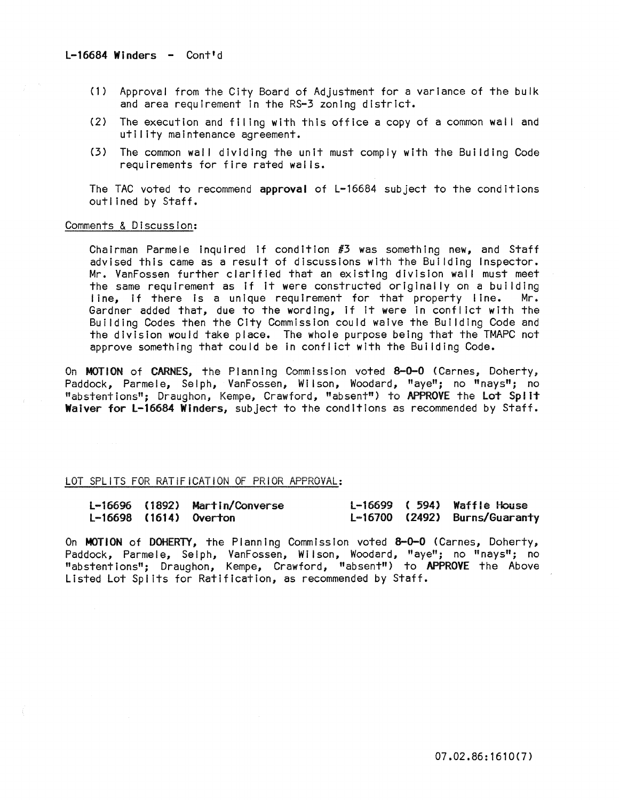- (1) Approval from the City Board of Adjustment for a variance of the bulk and area requirement in the RS-3 zoning district.
- (2) The execution and filing with this office a copy of a common wall and utility maintenance agreement.
- (3) The common wall dividing the unit must comply with the Building Code requirements for fire rated wai is.

The TAC voted to recommend approval of L-16684 subject to the conditions outl ined by Staff.

## Comments & Discussion:

Chairman Parmele inquired if condition  $#3$  was something new, and Staff advised this came as a result of discussions with the Building Inspector. Mr. VanFossen further clarified that an existing division wall must meet the same requirement as if it were constructed originally on a building line, if there is a unique requirement for that property line. Mr. Gardner added that, due to the wording, if It were In conflict with the Building Codes then the City Commission could waive the Building Code and the division would take place. The whole purpose being that the TMAPC not approve something that could be In conflict with the Building Code.

On MOTION of CARNES, the Planning Commission voted 8-0-0 (Carnes, Doherty, Paddock, Parmele, Selph, VanFossen, Wilson, Woodard, "aye"; no "nays"; no "abstentions"; Draughon, Kempe, Crawford, "absent") to APPROVE the Lot SpIlt Waiver for L-16684 Winders, subject to the conditions as recommended by Staff.

## LOT SPLiTS FOR RATiFiCATiON OF PRiOR APPROVAL:

|  | L-16696 (1892) Martin/Converse |  | $L-16699$ (594) Waffle House  |
|--|--------------------------------|--|-------------------------------|
|  | $L-16698$ (1614) Overton       |  | L-16700 (2492) Burns/Guaranty |

On **MOTION** of DOHERTY, the Planning Commission voted  $8-0-0$  (Carnes, Doherty, Paddock, Parmele, Selph, VanFossen, Wilson, Woodard, "aye"; no "nays"; no "abstentions"; Draughon, Kempe, Crawford, "absent") to APPROVE the Above Listed Lot Splits for Ratification, as recommended by Staff.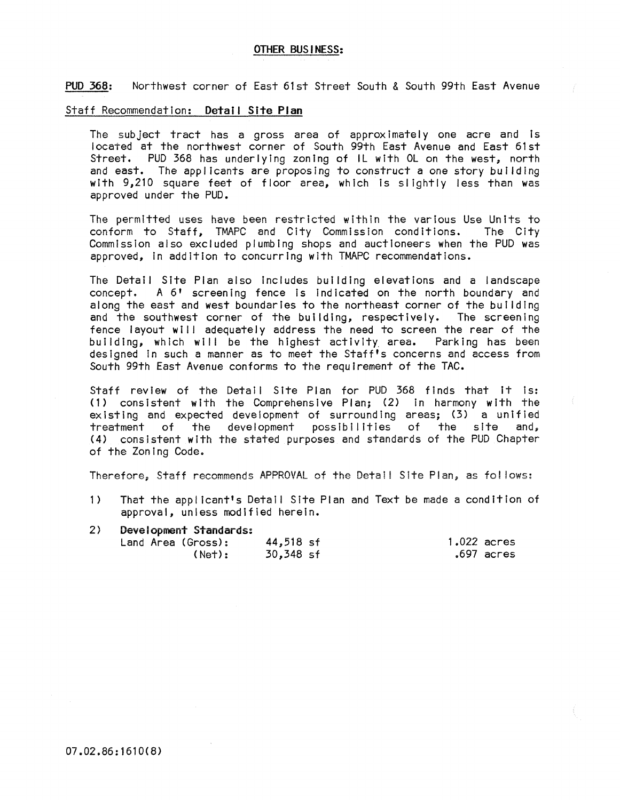## OTHER BUSINESS:

PUD 368: Northwest corner of East 61st Street South & South 99th East Avenue

#### Staff Recommendation: Detail Site **Plan**

The subject tract has a gross area of approximately one acre and is located at the northwest corner of South 99th East Avenue and East 61st Street. PUD 368 has underlying zoning of IL with OL on the west, north and east. The applicants are proposing to construct a one story building with 9,210 square feet of floor area, which is slightly less than was approved under the PUD.

The permitted uses have been restricted within the various Use Units to conform to Staff. TMAPC and City Commission conditions. Commission also excluded plumbing shops and auctioneers when the PUD was approved, In addition to concurring with TMAPC recommendations.

The Detail Site Plan also Includes building elevations and a landscape A 6' screening fence is indicated on the north boundary and along the east and west boundaries to the northeast corner of the building and the southwest corner of the building, respectively. The screening fence layout will adequately address the need to screen the rear of the building, which will be the highest activity. area. Parking has been designed In such a manner as to meet the Staff's concerns and access from South 99th East Avenue conforms to the requirement of the TAC.

Staff review of the Detail Site Plan for PUD 368 finds that it is: (1) consistent with the Comprehensive Plan; (2) In harmony with the existing and expected development of surrounding areas; (3) a unified<br>treatment of the development possibilities of the site and, possibilities of the site (4) consistent with the stated purposes and standards of the PUD Chapter of the Zoning Code.

Therefore, Staff recommends APPROVAL of the Detail Site Plan, as follows:

- 1) That the applicant's Detail Site Plan and Text be made a condition of approval, unless modified herein.
- 2) Developnent Standards;

| Land Area (Gross); | 44,518 sf | $1.022$ acres |
|--------------------|-----------|---------------|
| (Net):             | 30,348 sf | .697 acres    |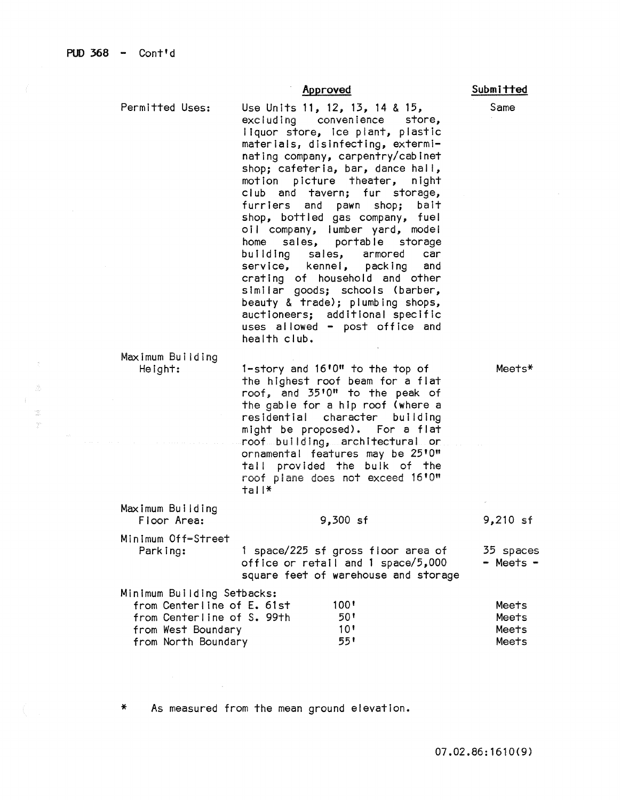霊  $\frac{\partial \phi}{\partial t} \phi$ 

## Approved

Permitted Uses: Maximum Building Height: Maximum Building Floor Area: Minimum Off-Street Parking: Use Units 11, 12, 13, 14 & 15,<br>excluding convenience sto convenience store, liquor store, Ice plant, plastic materials, disinfecting, exterminating company, carpentry/cabinet shop; cafeteria, bar, dance hall, motion picture theater, night club and tavern; fur storage, furriers and pawn shop; bait shop, bottled gas company, fuel oil company, I umber yard, mode I home sales, portable storage building sales, armored car<br>service, kennel, packing and packing crating of household and other similar goods; schools (barber, beauty & trade); plumbing shops, auctioneers; additional specific uses allowed - post office and health club. l-story and 16'0" to the top of the highest roof beam for a flat roof; and 35' 0" to the peak of the gable for a hlp roof (where a residential character building might be proposed). For a flat roof bu II ding; arch Itectura I or ornamental features may be 25'0" tall provided the bulk of the roof p! ane does **not exceed 16' 0"**  tall\* 9,300 sf 1 space/225 sf gross floor area of office or retail and 1 space/5,000 square feet of warehouse and storage Minimum Building Setbacks: from Centerline of E. 61st from Centerline of S. 99th from West Boundary 100' 50'  $\frac{10!}{55!}$ Meets\* 9,210 sf 35 spaces - Meets - **Meets** Meets Meets

As measured from the mean ground elevation.

from North Boundary

Submitted

Same

Meets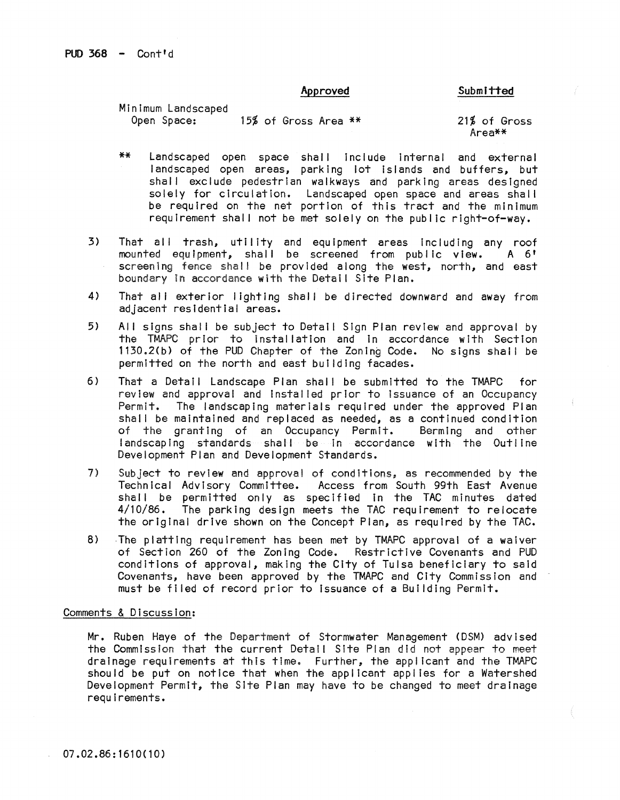## Approved

Submitted

| Minimum Landscaped |  |                      |  |     |
|--------------------|--|----------------------|--|-----|
| Open Space:        |  | 15% of Gross Area ** |  | 21% |

of Gross Area\*\*

- \*\* Landscaped open space shal I include Internal and external landscaped open areas, parking lot Islands and buffers, but shall exclude pedestrian walkways and parking areas designed solely for circulation. Landscaped open space and areas shall be required on the net portion of this tract and the minimum requirement shall not be met solely on the public right-of-way.
- 3) That all trash, utility and equipment areas including any roof<br>mounted equipment, shall be screened from public view. A 6' mounted equipment, shall be screened from public view. screening fence shall be provided along the west, north, and east boundary in accordance with the Detail Site Plan.
- 4) That all exterior lighting shall be directed downward and away from adjacent residential areas.
- 5) All signs shall be subject to Detail Sign Plan review and approval by the TMAPC prior to Installation and In accordance with Section 1130.2(b) of the PUD Chapter of the Zoning Code. No signs shall be permitted on the north and east building facades.
- 6) That a Detail Landscape Plan shall be submitted to the TMAPC for review and approval and Installed prior to Issuance of an Occupancy The landscaping materials required under the approved Plan shall be maintained and replaced as needed, as a continued condition<br>of the granting of an Occupancy Permit. Berming and other of the granting of an Occupancy Permit. landscaping standards shall be in accordance with the Outline Development Plan and Development Standards.
- 7) Subject to review and approval of conditions, as recommended by the Technical Advisory Committee. Access from South 99th East Avenue shall be permitted only as specified in the TAC minutes dated 4/10/86. The parking design meets the TAC requirement to relocate the original drive shown on the Concept Plan, as required by the TAC.
- 8) The platting requirement has been met by TMAPC approval of a waiver of Section 260 of the Zon Ing Code. Restrictive Covenants and PUD conditions of approval, making the City of Tulsa beneficiary to said Covenants, have been approved by the TMAPC and City Commission and must be filed of record prior to issuance of a Building Permit.

## Comments & Discussion:

Mr. Ruben Haye of the Department of Stormwater Management (DSM) advised the Commission that the current Detail Site Plan did not appear to meet drainage requIrements at this time. Further, the applicant and the TMAPC should be put on notice that when the applicant applies for a Watershed Development Permit, the Site Plan may have to be changed to meet drainage requirements.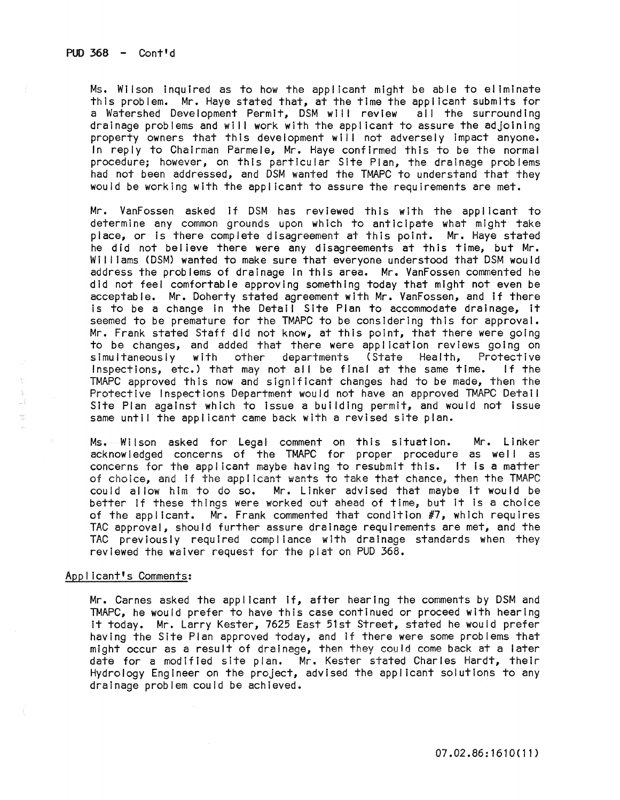Ms. Wilson inquired as to how the applicant might be able to eliminate this problem. Mr. Haye stated that, at the time the applicant submits for a Watershed Development Permit, DSM will review drainage problems and will work with the applicant to assure the adjoining property owners that this development will not adversely impact anyone. In reply to Chairman Parmele, Mr. Haye confirmed this to be the normal procedure; however, on this particular Site Plan, the drainage problems had not been addressed, and DSM wanted the TMAPC to understand that they would be working with the appl icant to assure the requirements are met.

Mr. VanFossen asked If DSM has reviewed this with the applicant to determine any common grounds upon which to anticipate what might take place, or is there complete disagreement at this point. Mr. Haye stated he did not believe there were any disagreements at this time, but Mr. Williams (DSM) wanted to make sure that everyone understood that DSM would address the problems of drainage In this area. Mr. VanFossen commented he did not feel comfortable approving something today that might not even be acceptable. Mr. Doherty stated agreement with Mr. VanFossen, and If there is to be a change in the Detail Site Plan to accommodate drainage, it seemed to be premature for the TMAPC to be considering this for approval. Mr. Frank stated Staff did not know, at this point, that there were going to be changes, and added that there were application reviews going on<br>simultaneously with other departments (State Health, Protective State Health, Protective)<br>al at the same time. If the Inspections, etc.) that may not all be final at the same time. TMAPC approved this now and significant changes had to be made, then the Protective Inspections Department would not have an approved TMAPC Detail Site Plan against which to Issue a building permit, and would not Issue same until the applicant came back with a revised site plan.

Ms. Wilson asked for Legal comment on this situation. Mr. Linker acknowledged concerns of the TMAPC for proper procedure as well as concerns for the appl icant maybe having to resubmit this. It Is a matter of choice, and if the applicant wants to take that chance, then the TMAPC could allow him to do so. Mr. Linker advised that maybe It would be better If these things were worked out ahead of time, but It Is a choice of the applicant. Mr. Frank commented that condition #7, which requires TAG approval, should further assure drainage requirements are met, and the TAC previously required compliance with drainage standards when they reviewed the waiver request for the plat on PUD 368.

## Appl icant's Comments:

 $\frac{1}{\sqrt{2}}\frac{d\phi}{d\phi}$  $\bar{\omega}$ 

> Mr. Carnes asked the applicant if, after hearing the comments by DSM and TMAPC, he would prefer to have this case continued or proceed with hearing It today. Mr. Larry Kester, 7625 East 51st Street, stated he would prefer having the Site Plan approved today, and If there were some problems that might occur as a result of drainage, then they could come back at a later date for a modified site plan. Mr. Kester stated Charles Hardt, their Hydrology Engineer on the project, advised the applicant solutions to any drainage problem could be achieved.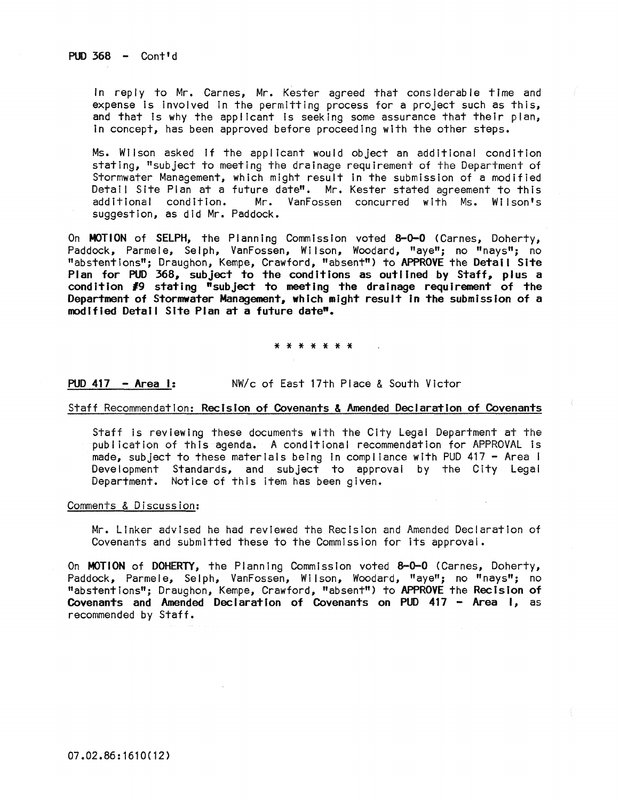PUD  $368 -$  Cont<sup>'d</sup>

In reply to Mr. Carnes, Mr. Kester agreed that considerable time and expense is involved in the permitting process for a project such as this, and that is why the applicant is seeking some assurance that their plan, In concept, has been approved before proceeding with the other steps.

Ms. Wilson asked If the applicant would object an additional condition stating, "subject to meeting the drainage requirement of the Department of Stormwater Management, which might result In the submission of a modified Detail Site Plan at a future date". Mr. Kester stated agreement to this<br>additional condition. Mr. VanFossen concurred with Ms. Wilson's Mr. VanFossen concurred with Ms. Wilson's suggestion, as did Mr. Paddock.

On MOTION of SELPH, the Planning Commission voted 8-0-0 (Carnes, Doherty, Paddock, Parmele, Selph, VanFossen, Wilson, Woodard, "aye"; no "nays"; no "abstentions"; Draughon, Kempe, Crawford, "absent") to APPROVE the Detail Site Plan for PUD 368, subject to the conditions as outlined by Staff, plus a condition *19* stating "subject to meeting the drainage requirement of the Department of Stormwater Management, which mIght result in the submission of a modified Detail Site Plan at a future date".

\* \* \* \* \* \* \*

## PUD 417 - Area I: NW/c of East 17th Place & South Victor

### Staff Recommendation: RecIsion of Covenants & Amended Declaration of Covenants

Staff Is reviewing these documents with the City Legal Department at the publication of this agenda. A conditional recommendation for APPROVAL is made, subject to these materials being In compl lance with PUD 417 - Area I Development Standards, and subject to approval by the City Legal Department. Notice of this item has been given.

## Comments & Discussion:

Mr. Linker advised he had reviewed the Recision and Amended Declaration of Covenants and submitted these to the Commission for its approval.

On MOTION of DOHERTY, the Planning Commission voted 8-0-0 (Carnes, Doherty, Paddock, Parmele, Selph, VanFossen, Wilson, Woodard, "aye"; no "nays"; no "abstentions"; Draughon, Kempe, Crawford, "absent") to APPROVE the Recision of Covenants and Amended Declaration of Covenants on PUD 417 - Area I, as recommended by Staff.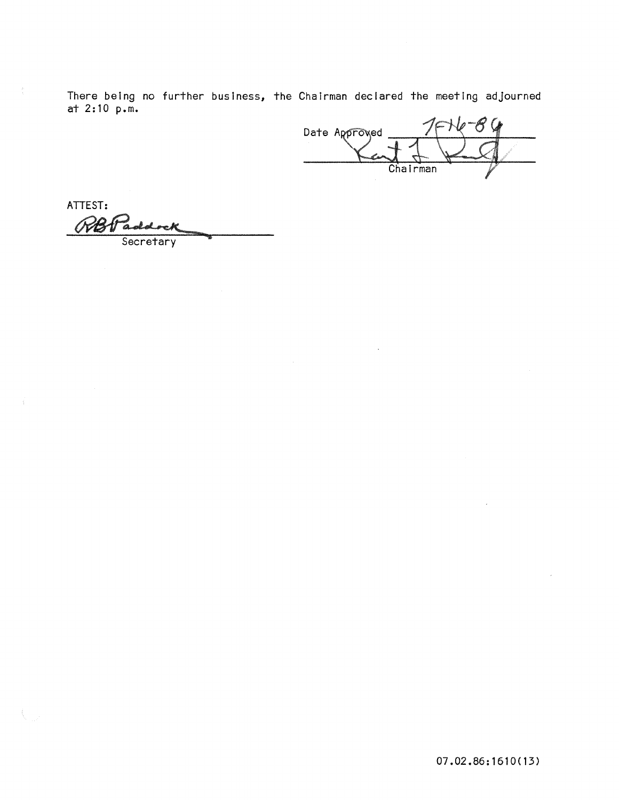There being no further business, the Chairman declared the meeting adjourned at 2: 10 p.m.

FHe Q Date Approved Chairman

ATTEST:

Secretary

07.02.86:1610(13)